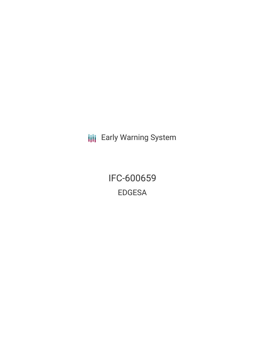**III** Early Warning System

IFC-600659 EDGESA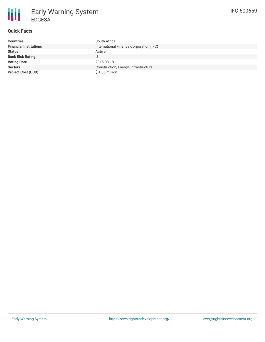

# **Quick Facts**

| <b>Countries</b>              | South Africa                            |
|-------------------------------|-----------------------------------------|
| <b>Financial Institutions</b> | International Finance Corporation (IFC) |
| <b>Status</b>                 | Active                                  |
| <b>Bank Risk Rating</b>       | U                                       |
| <b>Voting Date</b>            | 2015-08-18                              |
| <b>Sectors</b>                | Construction, Energy, Infrastructure    |
| <b>Project Cost (USD)</b>     | $$1.05$ million                         |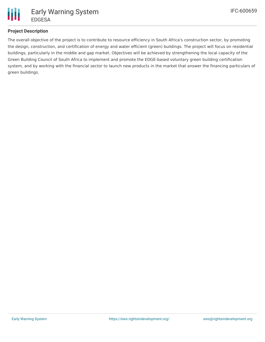

### **Project Description**

The overall objective of the project is to contribute to resource efficiency in South Africa's construction sector, by promoting the design, construction, and certification of energy and water efficient (green) buildings. The project will focus on residential buildings, particularly in the middle and gap market. Objectives will be achieved by strengthening the local capacity of the Green Building Council of South Africa to implement and promote the EDGE-based voluntary green building certification system, and by working with the financial sector to launch new products in the market that answer the financing particulars of green buildings.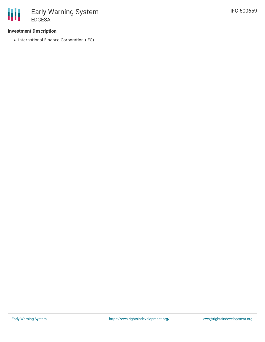### **Investment Description**

• International Finance Corporation (IFC)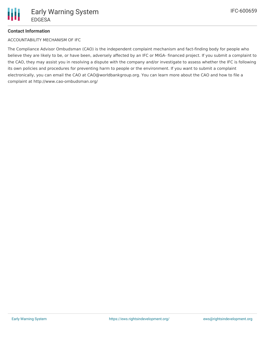## **Contact Information**

ACCOUNTABILITY MECHANISM OF IFC

The Compliance Advisor Ombudsman (CAO) is the independent complaint mechanism and fact-finding body for people who believe they are likely to be, or have been, adversely affected by an IFC or MIGA- financed project. If you submit a complaint to the CAO, they may assist you in resolving a dispute with the company and/or investigate to assess whether the IFC is following its own policies and procedures for preventing harm to people or the environment. If you want to submit a complaint electronically, you can email the CAO at CAO@worldbankgroup.org. You can learn more about the CAO and how to file a complaint at http://www.cao-ombudsman.org/